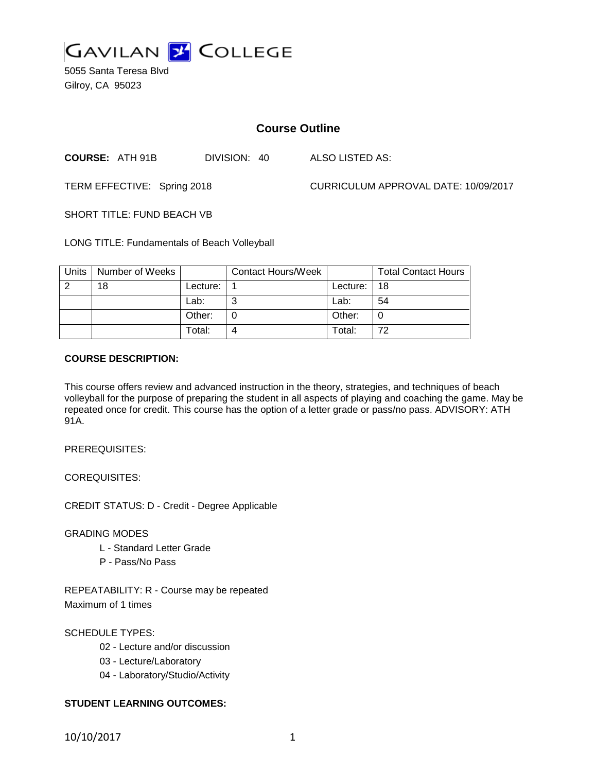

5055 Santa Teresa Blvd Gilroy, CA 95023

# **Course Outline**

**COURSE:** ATH 91B DIVISION: 40 ALSO LISTED AS:

TERM EFFECTIVE: Spring 2018 CURRICULUM APPROVAL DATE: 10/09/2017

SHORT TITLE: FUND BEACH VB

LONG TITLE: Fundamentals of Beach Volleyball

| Units | Number of Weeks |            | <b>Contact Hours/Week</b> |          | <b>Total Contact Hours</b> |
|-------|-----------------|------------|---------------------------|----------|----------------------------|
| റ     | 18              | Lecture: . |                           | Lecture: | 18                         |
|       |                 | Lab:       | ⌒                         | Lab:     | 54                         |
|       |                 | Other:     |                           | Other:   |                            |
|       |                 | Total:     | 4                         | Total:   | 72                         |

#### **COURSE DESCRIPTION:**

This course offers review and advanced instruction in the theory, strategies, and techniques of beach volleyball for the purpose of preparing the student in all aspects of playing and coaching the game. May be repeated once for credit. This course has the option of a letter grade or pass/no pass. ADVISORY: ATH 91A.

PREREQUISITES:

COREQUISITES:

CREDIT STATUS: D - Credit - Degree Applicable

GRADING MODES

- L Standard Letter Grade
- P Pass/No Pass

REPEATABILITY: R - Course may be repeated Maximum of 1 times

SCHEDULE TYPES:

- 02 Lecture and/or discussion
- 03 Lecture/Laboratory
- 04 Laboratory/Studio/Activity

## **STUDENT LEARNING OUTCOMES:**

10/10/2017 1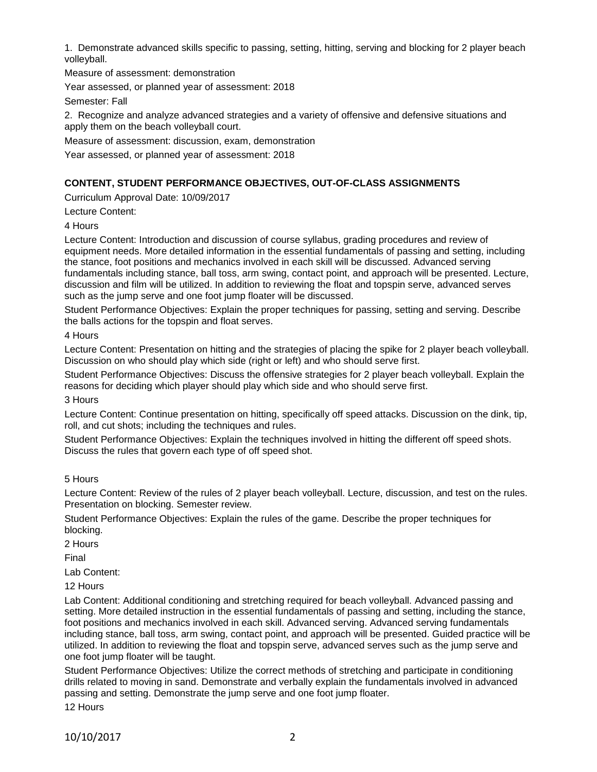1. Demonstrate advanced skills specific to passing, setting, hitting, serving and blocking for 2 player beach volleyball.

Measure of assessment: demonstration

Year assessed, or planned year of assessment: 2018

Semester: Fall

2. Recognize and analyze advanced strategies and a variety of offensive and defensive situations and apply them on the beach volleyball court.

Measure of assessment: discussion, exam, demonstration

Year assessed, or planned year of assessment: 2018

## **CONTENT, STUDENT PERFORMANCE OBJECTIVES, OUT-OF-CLASS ASSIGNMENTS**

Curriculum Approval Date: 10/09/2017

Lecture Content:

4 Hours

Lecture Content: Introduction and discussion of course syllabus, grading procedures and review of equipment needs. More detailed information in the essential fundamentals of passing and setting, including the stance, foot positions and mechanics involved in each skill will be discussed. Advanced serving fundamentals including stance, ball toss, arm swing, contact point, and approach will be presented. Lecture, discussion and film will be utilized. In addition to reviewing the float and topspin serve, advanced serves such as the jump serve and one foot jump floater will be discussed.

Student Performance Objectives: Explain the proper techniques for passing, setting and serving. Describe the balls actions for the topspin and float serves.

4 Hours

Lecture Content: Presentation on hitting and the strategies of placing the spike for 2 player beach volleyball. Discussion on who should play which side (right or left) and who should serve first.

Student Performance Objectives: Discuss the offensive strategies for 2 player beach volleyball. Explain the reasons for deciding which player should play which side and who should serve first.

3 Hours

Lecture Content: Continue presentation on hitting, specifically off speed attacks. Discussion on the dink, tip, roll, and cut shots; including the techniques and rules.

Student Performance Objectives: Explain the techniques involved in hitting the different off speed shots. Discuss the rules that govern each type of off speed shot.

5 Hours

Lecture Content: Review of the rules of 2 player beach volleyball. Lecture, discussion, and test on the rules. Presentation on blocking. Semester review.

Student Performance Objectives: Explain the rules of the game. Describe the proper techniques for blocking.

2 Hours

Final

Lab Content:

12 Hours

Lab Content: Additional conditioning and stretching required for beach volleyball. Advanced passing and setting. More detailed instruction in the essential fundamentals of passing and setting, including the stance, foot positions and mechanics involved in each skill. Advanced serving. Advanced serving fundamentals including stance, ball toss, arm swing, contact point, and approach will be presented. Guided practice will be utilized. In addition to reviewing the float and topspin serve, advanced serves such as the jump serve and one foot jump floater will be taught.

Student Performance Objectives: Utilize the correct methods of stretching and participate in conditioning drills related to moving in sand. Demonstrate and verbally explain the fundamentals involved in advanced passing and setting. Demonstrate the jump serve and one foot jump floater.

12 Hours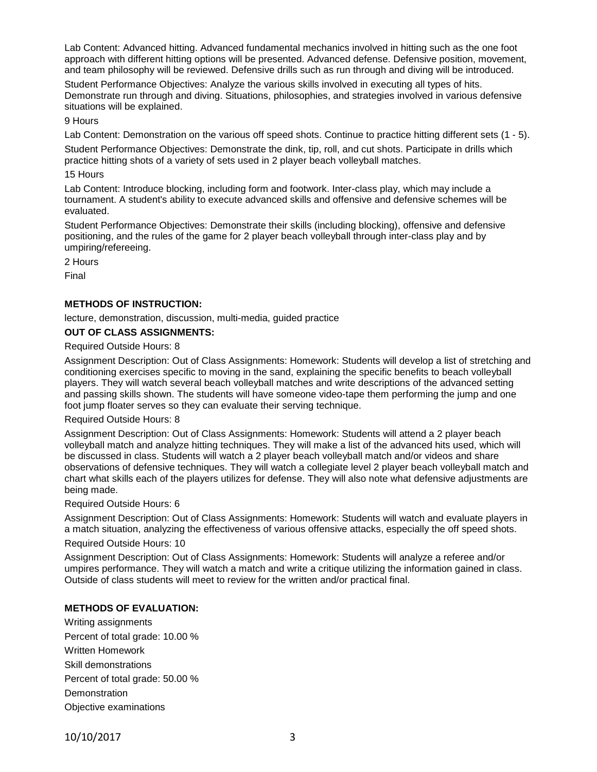Lab Content: Advanced hitting. Advanced fundamental mechanics involved in hitting such as the one foot approach with different hitting options will be presented. Advanced defense. Defensive position, movement, and team philosophy will be reviewed. Defensive drills such as run through and diving will be introduced.

Student Performance Objectives: Analyze the various skills involved in executing all types of hits. Demonstrate run through and diving. Situations, philosophies, and strategies involved in various defensive situations will be explained.

#### 9 Hours

Lab Content: Demonstration on the various off speed shots. Continue to practice hitting different sets (1 - 5).

Student Performance Objectives: Demonstrate the dink, tip, roll, and cut shots. Participate in drills which practice hitting shots of a variety of sets used in 2 player beach volleyball matches.

#### 15 Hours

Lab Content: Introduce blocking, including form and footwork. Inter-class play, which may include a tournament. A student's ability to execute advanced skills and offensive and defensive schemes will be evaluated.

Student Performance Objectives: Demonstrate their skills (including blocking), offensive and defensive positioning, and the rules of the game for 2 player beach volleyball through inter-class play and by umpiring/refereeing.

2 Hours

Final

## **METHODS OF INSTRUCTION:**

lecture, demonstration, discussion, multi-media, guided practice

#### **OUT OF CLASS ASSIGNMENTS:**

#### Required Outside Hours: 8

Assignment Description: Out of Class Assignments: Homework: Students will develop a list of stretching and conditioning exercises specific to moving in the sand, explaining the specific benefits to beach volleyball players. They will watch several beach volleyball matches and write descriptions of the advanced setting and passing skills shown. The students will have someone video-tape them performing the jump and one foot jump floater serves so they can evaluate their serving technique.

#### Required Outside Hours: 8

Assignment Description: Out of Class Assignments: Homework: Students will attend a 2 player beach volleyball match and analyze hitting techniques. They will make a list of the advanced hits used, which will be discussed in class. Students will watch a 2 player beach volleyball match and/or videos and share observations of defensive techniques. They will watch a collegiate level 2 player beach volleyball match and chart what skills each of the players utilizes for defense. They will also note what defensive adjustments are being made.

#### Required Outside Hours: 6

Assignment Description: Out of Class Assignments: Homework: Students will watch and evaluate players in a match situation, analyzing the effectiveness of various offensive attacks, especially the off speed shots.

## Required Outside Hours: 10

Assignment Description: Out of Class Assignments: Homework: Students will analyze a referee and/or umpires performance. They will watch a match and write a critique utilizing the information gained in class. Outside of class students will meet to review for the written and/or practical final.

## **METHODS OF EVALUATION:**

Writing assignments Percent of total grade: 10.00 % Written Homework Skill demonstrations Percent of total grade: 50.00 % **Demonstration** Objective examinations

10/10/2017 3